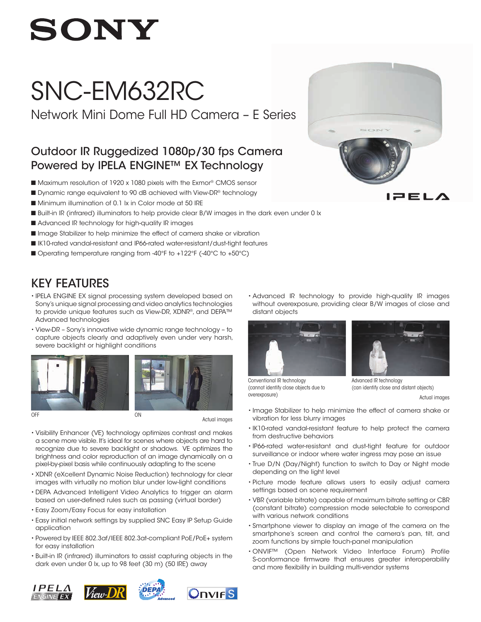# **SONY**

## SNC-EM632RC

Network Mini Dome Full HD Camera – E Series

### Outdoor IR Ruggedized 1080p/30 fps Camera Powered by IPELA ENGINE™ EX Technology

- Maximum resolution of 1920 x 1080 pixels with the Exmor<sup>®</sup> CMOS sensor
- Dynamic range equivalent to 90 dB achieved with View-DR® technology
- Minimum illumination of 0.1 lx in Color mode at 50 IRE
- Built-in IR (infrared) illuminators to help provide clear B/W images in the dark even under 0 lx
- Advanced IR technology for high-quality IR images
- n Image Stabilizer to help minimize the effect of camera shake or vibration
- IK10-rated vandal-resistant and IP66-rated water-resistant/dust-tight features
- Operating temperature ranging from -40°F to +122°F (-40°C to +50°C)

## KEY FEATURES

- IPELA ENGINE EX signal processing system developed based on Sony's unique signal processing and video analytics technologies to provide unique features such as View-DR, XDNR®, and DEPA™ Advanced technologies
- View-DR Sony's innovative wide dynamic range technology to capture objects clearly and adaptively even under very harsh, severe backlight or highlight conditions





OFF ON CONTROL CONTROL CONTROL CONTROL CONTROL CONTROL CONTROL CONTROL CONTROL CONTROL CONTROL CONTROL CONTROL CONTROL CONTROL CONTROL CONTROL CONTROL CONTROL CONTROL CONTROL CONTROL CONTROL CONTROL CONTROL CONTROL CONTROL

Actual images

• Visibility Enhancer (VE) technology optimizes contrast and makes a scene more visible. It's ideal for scenes where objects are hard to recognize due to severe backlight or shadows. VE optimizes the brightness and color reproduction of an image dynamically on a pixel-by-pixel basis while continuously adapting to the scene

- XDNR (eXcellent Dynamic Noise Reduction) technology for clear images with virtually no motion blur under low-light conditions
- DEPA Advanced Intelligent Video Analytics to trigger an alarm based on user-defined rules such as passing (virtual border)
- Easy Zoom/Easy Focus for easy installation
- Easy initial network settings by supplied SNC Easy IP Setup Guide application
- Powered by IEEE 802.3af/IEEE 802.3at-compliant PoE/PoE+ system for easy installation
- Built-in IR (infrared) illuminators to assist capturing objects in the dark even under 0 lx, up to 98 feet (30 m) (50 IRE) away

• Advanced IR technology to provide high-quality IR images without overexposure, providing clear B/W images of close and distant objects



Conventional IR technology (cannot identify close objects due to

overexposure)



Actual images

- Image Stabilizer to help minimize the effect of camera shake or vibration for less blurry images
- IK10-rated vandal-resistant feature to help protect the camera from destructive behaviors
- IP66-rated water-resistant and dust-tight feature for outdoor surveillance or indoor where water ingress may pose an issue
- True D/N (Day/Night) function to switch to Day or Night mode depending on the light level
- Picture mode feature allows users to easily adjust camera settings based on scene requirement
- VBR (variable bitrate) capable of maximum bitrate setting or CBR (constant bitrate) compression mode selectable to correspond with various network conditions
- Smartphone viewer to display an image of the camera on the smartphone's screen and control the camera's pan, tilt, and zoom functions by simple touch-panel manipulation
- ONVIF™ (Open Network Video Interface Forum) Profile S-conformance firmware that ensures greater interoperability and more flexibility in building multi-vendor systems